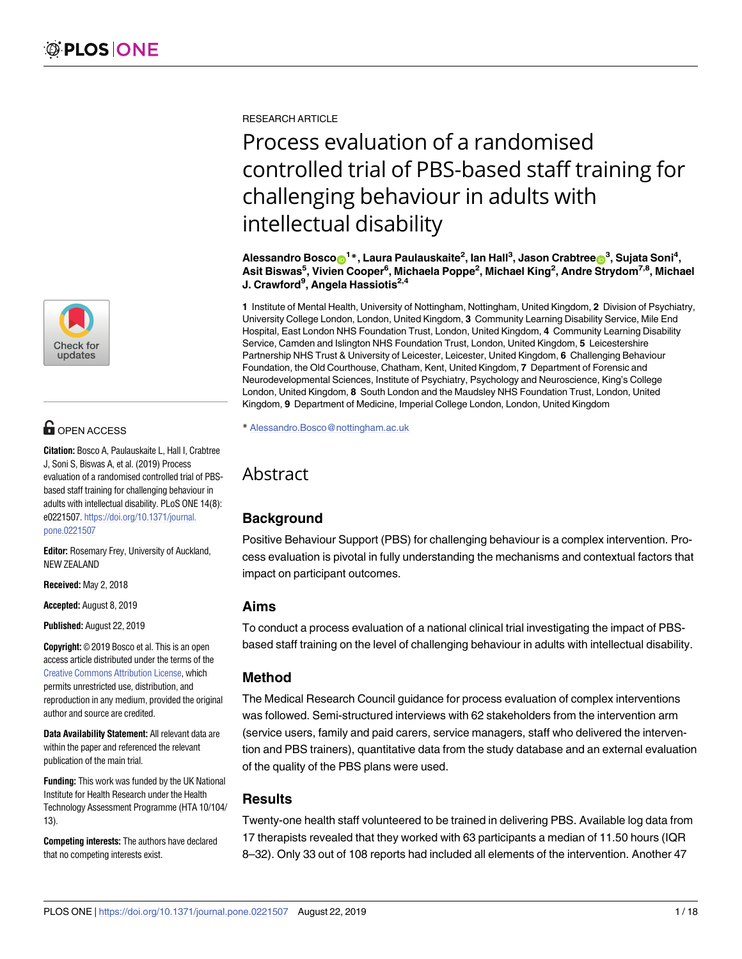

## **G** OPEN ACCESS

**Citation:** Bosco A, Paulauskaite L, Hall I, Crabtree J, Soni S, Biswas A, et al. (2019) Process evaluation of a randomised controlled trial of PBSbased staff training for challenging behaviour in adults with intellectual disability. PLoS ONE 14(8): e0221507. [https://doi.org/10.1371/journal.](https://doi.org/10.1371/journal.pone.0221507) [pone.0221507](https://doi.org/10.1371/journal.pone.0221507)

**Editor:** Rosemary Frey, University of Auckland, NEW ZEALAND

**Received:** May 2, 2018

**Accepted:** August 8, 2019

**Published:** August 22, 2019

**Copyright:** © 2019 Bosco et al. This is an open access article distributed under the terms of the Creative Commons [Attribution](http://creativecommons.org/licenses/by/4.0/) License, which permits unrestricted use, distribution, and reproduction in any medium, provided the original author and source are credited.

**Data Availability Statement:** All relevant data are within the paper and referenced the relevant publication of the main trial.

**Funding:** This work was funded by the UK National Institute for Health Research under the Health Technology Assessment Programme (HTA 10/104/ 13).

**Competing interests:** The authors have declared that no competing interests exist.

RESEARCH ARTICLE

# Process evaluation of a randomised controlled trial of PBS-based staff training for challenging behaviour in adults with intellectual disability

 $\blacksquare$ **Alessandro Bosco** $\blacksquare$ **<sup>1</sup>\*, Laura Paulauskaite** $^2$ **, Ian Hall** $^3$ **, Jason Crabtree** $\blacksquare^3$ **, Sujata Soni** $^4$ **, Asit Biswas5 , Vivien Cooper6 , Michaela Poppe2 , Michael King2 , Andre Strydom7,8, Michael J. Crawford9 , Angela Hassiotis2,4**

**1** Institute of Mental Health, University of Nottingham, Nottingham, United Kingdom, **2** Division of Psychiatry, University College London, London, United Kingdom, **3** Community Learning Disability Service, Mile End Hospital, East London NHS Foundation Trust, London, United Kingdom, **4** Community Learning Disability Service, Camden and Islington NHS Foundation Trust, London, United Kingdom, **5** Leicestershire Partnership NHS Trust & University of Leicester, Leicester, United Kingdom, **6** Challenging Behaviour Foundation, the Old Courthouse, Chatham, Kent, United Kingdom, **7** Department of Forensic and Neurodevelopmental Sciences, Institute of Psychiatry, Psychology and Neuroscience, King's College London, United Kingdom, **8** South London and the Maudsley NHS Foundation Trust, London, United Kingdom, **9** Department of Medicine, Imperial College London, London, United Kingdom

\* Alessandro.Bosco@nottingham.ac.uk

## Abstract

## **Background**

Positive Behaviour Support (PBS) for challenging behaviour is a complex intervention. Process evaluation is pivotal in fully understanding the mechanisms and contextual factors that impact on participant outcomes.

## **Aims**

To conduct a process evaluation of a national clinical trial investigating the impact of PBSbased staff training on the level of challenging behaviour in adults with intellectual disability.

## **Method**

The Medical Research Council guidance for process evaluation of complex interventions was followed. Semi-structured interviews with 62 stakeholders from the intervention arm (service users, family and paid carers, service managers, staff who delivered the intervention and PBS trainers), quantitative data from the study database and an external evaluation of the quality of the PBS plans were used.

## **Results**

Twenty-one health staff volunteered to be trained in delivering PBS. Available log data from 17 therapists revealed that they worked with 63 participants a median of 11.50 hours (IQR 8–32). Only 33 out of 108 reports had included all elements of the intervention. Another 47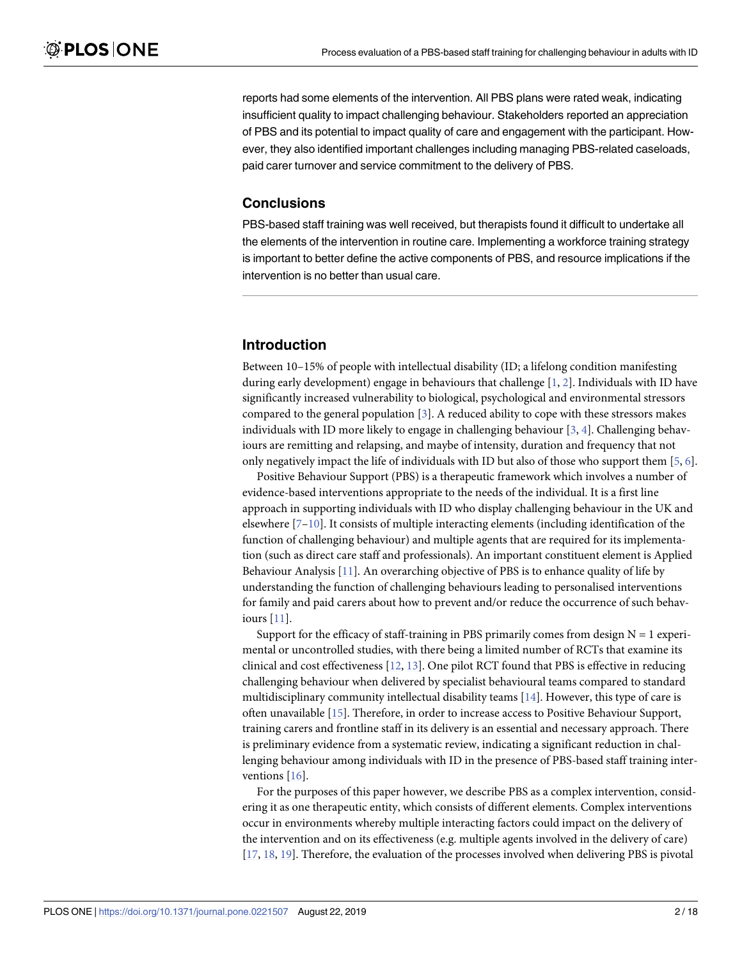<span id="page-1-0"></span>reports had some elements of the intervention. All PBS plans were rated weak, indicating insufficient quality to impact challenging behaviour. Stakeholders reported an appreciation of PBS and its potential to impact quality of care and engagement with the participant. However, they also identified important challenges including managing PBS-related caseloads, paid carer turnover and service commitment to the delivery of PBS.

#### **Conclusions**

PBS-based staff training was well received, but therapists found it difficult to undertake all the elements of the intervention in routine care. Implementing a workforce training strategy is important to better define the active components of PBS, and resource implications if the intervention is no better than usual care.

## **Introduction**

Between 10–15% of people with intellectual disability (ID; a lifelong condition manifesting during early development) engage in behaviours that challenge [\[1,](#page-15-0) [2](#page-15-0)]. Individuals with ID have significantly increased vulnerability to biological, psychological and environmental stressors compared to the general population [\[3\]](#page-15-0). A reduced ability to cope with these stressors makes individuals with ID more likely to engage in challenging behaviour  $[3, 4]$  $[3, 4]$  $[3, 4]$  $[3, 4]$ . Challenging behaviours are remitting and relapsing, and maybe of intensity, duration and frequency that not only negatively impact the life of individuals with ID but also of those who support them [\[5](#page-15-0), [6](#page-15-0)].

Positive Behaviour Support (PBS) is a therapeutic framework which involves a number of evidence-based interventions appropriate to the needs of the individual. It is a first line approach in supporting individuals with ID who display challenging behaviour in the UK and elsewhere  $[7-10]$ . It consists of multiple interacting elements (including identification of the function of challenging behaviour) and multiple agents that are required for its implementation (such as direct care staff and professionals). An important constituent element is Applied Behaviour Analysis [\[11\]](#page-15-0). An overarching objective of PBS is to enhance quality of life by understanding the function of challenging behaviours leading to personalised interventions for family and paid carers about how to prevent and/or reduce the occurrence of such behaviours [[11](#page-15-0)].

Support for the efficacy of staff-training in PBS primarily comes from design  $N = 1$  experimental or uncontrolled studies, with there being a limited number of RCTs that examine its clinical and cost effectiveness [[12](#page-15-0), [13](#page-15-0)]. One pilot RCT found that PBS is effective in reducing challenging behaviour when delivered by specialist behavioural teams compared to standard multidisciplinary community intellectual disability teams [\[14\]](#page-15-0). However, this type of care is often unavailable [[15](#page-15-0)]. Therefore, in order to increase access to Positive Behaviour Support, training carers and frontline staff in its delivery is an essential and necessary approach. There is preliminary evidence from a systematic review, indicating a significant reduction in challenging behaviour among individuals with ID in the presence of PBS-based staff training interventions [[16](#page-15-0)].

For the purposes of this paper however, we describe PBS as a complex intervention, considering it as one therapeutic entity, which consists of different elements. Complex interventions occur in environments whereby multiple interacting factors could impact on the delivery of the intervention and on its effectiveness (e.g. multiple agents involved in the delivery of care) [\[17,](#page-15-0) [18,](#page-16-0) [19\]](#page-16-0). Therefore, the evaluation of the processes involved when delivering PBS is pivotal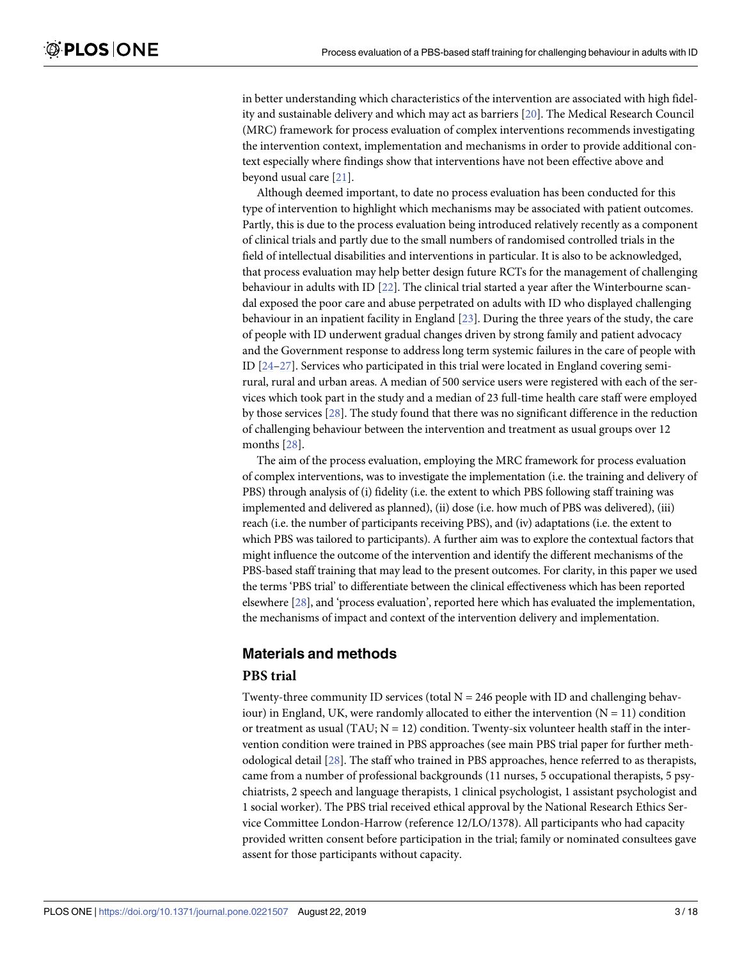<span id="page-2-0"></span>in better understanding which characteristics of the intervention are associated with high fidelity and sustainable delivery and which may act as barriers [[20](#page-16-0)]. The Medical Research Council (MRC) framework for process evaluation of complex interventions recommends investigating the intervention context, implementation and mechanisms in order to provide additional context especially where findings show that interventions have not been effective above and beyond usual care [\[21\]](#page-16-0).

Although deemed important, to date no process evaluation has been conducted for this type of intervention to highlight which mechanisms may be associated with patient outcomes. Partly, this is due to the process evaluation being introduced relatively recently as a component of clinical trials and partly due to the small numbers of randomised controlled trials in the field of intellectual disabilities and interventions in particular. It is also to be acknowledged, that process evaluation may help better design future RCTs for the management of challenging behaviour in adults with ID [\[22\]](#page-16-0). The clinical trial started a year after the Winterbourne scandal exposed the poor care and abuse perpetrated on adults with ID who displayed challenging behaviour in an inpatient facility in England [\[23\]](#page-16-0). During the three years of the study, the care of people with ID underwent gradual changes driven by strong family and patient advocacy and the Government response to address long term systemic failures in the care of people with ID  $[24-27]$ . Services who participated in this trial were located in England covering semirural, rural and urban areas. A median of 500 service users were registered with each of the services which took part in the study and a median of 23 full-time health care staff were employed by those services [\[28\]](#page-16-0). The study found that there was no significant difference in the reduction of challenging behaviour between the intervention and treatment as usual groups over 12 months [\[28\]](#page-16-0).

The aim of the process evaluation, employing the MRC framework for process evaluation of complex interventions, was to investigate the implementation (i.e. the training and delivery of PBS) through analysis of (i) fidelity (i.e. the extent to which PBS following staff training was implemented and delivered as planned), (ii) dose (i.e. how much of PBS was delivered), (iii) reach (i.e. the number of participants receiving PBS), and (iv) adaptations (i.e. the extent to which PBS was tailored to participants). A further aim was to explore the contextual factors that might influence the outcome of the intervention and identify the different mechanisms of the PBS-based staff training that may lead to the present outcomes. For clarity, in this paper we used the terms 'PBS trial' to differentiate between the clinical effectiveness which has been reported elsewhere [[28\]](#page-16-0), and 'process evaluation', reported here which has evaluated the implementation, the mechanisms of impact and context of the intervention delivery and implementation.

## **Materials and methods**

#### **PBS trial**

Twenty-three community ID services (total  $N = 246$  people with ID and challenging behaviour) in England, UK, were randomly allocated to either the intervention  $(N = 11)$  condition or treatment as usual  $(TAU; N = 12)$  condition. Twenty-six volunteer health staff in the intervention condition were trained in PBS approaches (see main PBS trial paper for further methodological detail [\[28\]](#page-16-0). The staff who trained in PBS approaches, hence referred to as therapists, came from a number of professional backgrounds (11 nurses, 5 occupational therapists, 5 psychiatrists, 2 speech and language therapists, 1 clinical psychologist, 1 assistant psychologist and 1 social worker). The PBS trial received ethical approval by the National Research Ethics Service Committee London-Harrow (reference 12/LO/1378). All participants who had capacity provided written consent before participation in the trial; family or nominated consultees gave assent for those participants without capacity.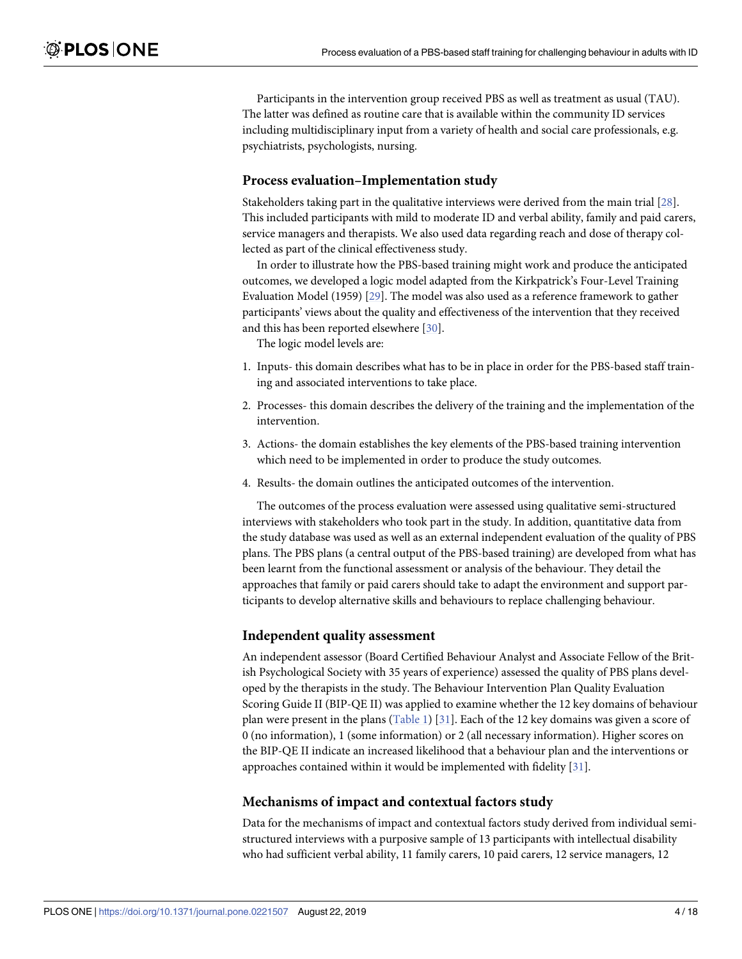<span id="page-3-0"></span>Participants in the intervention group received PBS as well as treatment as usual (TAU). The latter was defined as routine care that is available within the community ID services including multidisciplinary input from a variety of health and social care professionals, e.g. psychiatrists, psychologists, nursing.

#### **Process evaluation–Implementation study**

Stakeholders taking part in the qualitative interviews were derived from the main trial [[28](#page-16-0)]. This included participants with mild to moderate ID and verbal ability, family and paid carers, service managers and therapists. We also used data regarding reach and dose of therapy collected as part of the clinical effectiveness study.

In order to illustrate how the PBS-based training might work and produce the anticipated outcomes, we developed a logic model adapted from the Kirkpatrick's Four-Level Training Evaluation Model (1959) [[29](#page-16-0)]. The model was also used as a reference framework to gather participants' views about the quality and effectiveness of the intervention that they received and this has been reported elsewhere [[30](#page-16-0)].

The logic model levels are:

- 1. Inputs- this domain describes what has to be in place in order for the PBS-based staff training and associated interventions to take place.
- 2. Processes- this domain describes the delivery of the training and the implementation of the intervention.
- 3. Actions- the domain establishes the key elements of the PBS-based training intervention which need to be implemented in order to produce the study outcomes.
- 4. Results- the domain outlines the anticipated outcomes of the intervention.

The outcomes of the process evaluation were assessed using qualitative semi-structured interviews with stakeholders who took part in the study. In addition, quantitative data from the study database was used as well as an external independent evaluation of the quality of PBS plans. The PBS plans (a central output of the PBS-based training) are developed from what has been learnt from the functional assessment or analysis of the behaviour. They detail the approaches that family or paid carers should take to adapt the environment and support participants to develop alternative skills and behaviours to replace challenging behaviour.

#### **Independent quality assessment**

An independent assessor (Board Certified Behaviour Analyst and Associate Fellow of the British Psychological Society with 35 years of experience) assessed the quality of PBS plans developed by the therapists in the study. The Behaviour Intervention Plan Quality Evaluation Scoring Guide II (BIP-QE II) was applied to examine whether the 12 key domains of behaviour plan were present in the plans [\(Table](#page-4-0) 1) [\[31\]](#page-16-0). Each of the 12 key domains was given a score of 0 (no information), 1 (some information) or 2 (all necessary information). Higher scores on the BIP-QE II indicate an increased likelihood that a behaviour plan and the interventions or approaches contained within it would be implemented with fidelity [[31](#page-16-0)].

#### **Mechanisms of impact and contextual factors study**

Data for the mechanisms of impact and contextual factors study derived from individual semistructured interviews with a purposive sample of 13 participants with intellectual disability who had sufficient verbal ability, 11 family carers, 10 paid carers, 12 service managers, 12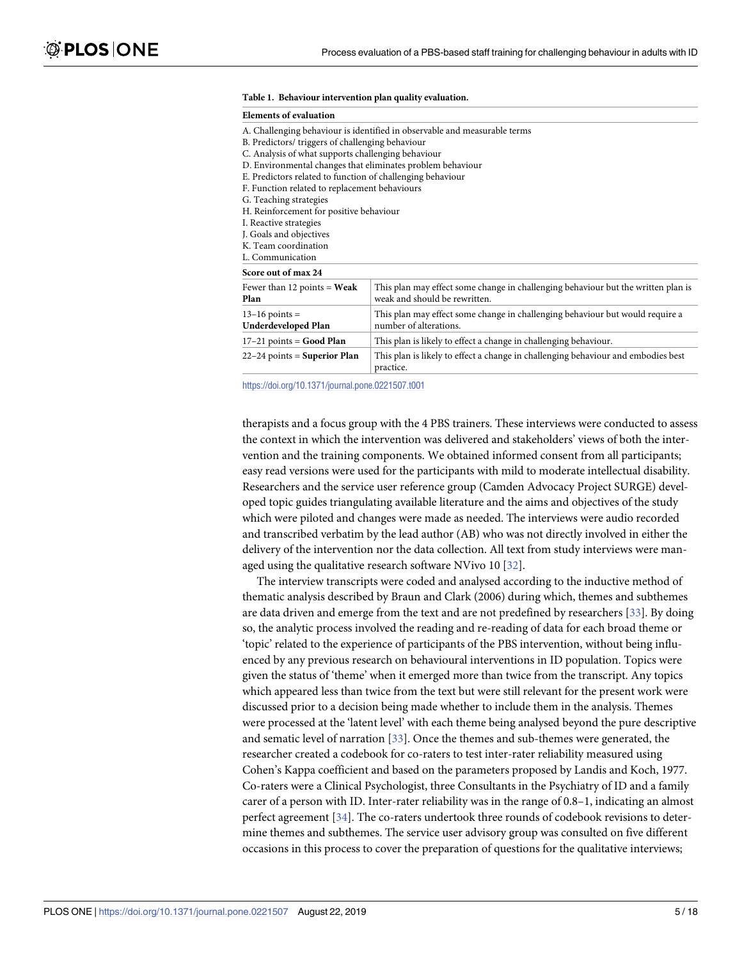#### <span id="page-4-0"></span>**[Table](#page-3-0) 1. Behaviour intervention plan quality evaluation.**

| <b>Elements of evaluation</b>                              |                                                                                                                    |
|------------------------------------------------------------|--------------------------------------------------------------------------------------------------------------------|
|                                                            | A. Challenging behaviour is identified in observable and measurable terms                                          |
| B. Predictors/triggers of challenging behaviour            |                                                                                                                    |
| C. Analysis of what supports challenging behaviour         |                                                                                                                    |
| D. Environmental changes that eliminates problem behaviour |                                                                                                                    |
| E. Predictors related to function of challenging behaviour |                                                                                                                    |
| F. Function related to replacement behaviours              |                                                                                                                    |
| G. Teaching strategies                                     |                                                                                                                    |
| H. Reinforcement for positive behaviour                    |                                                                                                                    |
| I. Reactive strategies                                     |                                                                                                                    |
| J. Goals and objectives                                    |                                                                                                                    |
| K. Team coordination                                       |                                                                                                                    |
| L. Communication                                           |                                                                                                                    |
| Score out of max 24                                        |                                                                                                                    |
| Fewer than 12 points $=$ Weak<br>Plan                      | This plan may effect some change in challenging behaviour but the written plan is<br>weak and should be rewritten. |
| $13-16$ points =<br>Underdeveloped Plan                    | This plan may effect some change in challenging behaviour but would require a<br>number of alterations.            |
| $17-21$ points = Good Plan                                 | This plan is likely to effect a change in challenging behaviour.                                                   |
| $22-24$ points = Superior Plan                             | This plan is likely to effect a change in challenging behaviour and embodies best<br>practice.                     |
|                                                            |                                                                                                                    |

<https://doi.org/10.1371/journal.pone.0221507.t001>

therapists and a focus group with the 4 PBS trainers. These interviews were conducted to assess the context in which the intervention was delivered and stakeholders' views of both the intervention and the training components. We obtained informed consent from all participants; easy read versions were used for the participants with mild to moderate intellectual disability. Researchers and the service user reference group (Camden Advocacy Project SURGE) developed topic guides triangulating available literature and the aims and objectives of the study which were piloted and changes were made as needed. The interviews were audio recorded and transcribed verbatim by the lead author (AB) who was not directly involved in either the delivery of the intervention nor the data collection. All text from study interviews were managed using the qualitative research software NVivo 10 [\[32\]](#page-16-0).

The interview transcripts were coded and analysed according to the inductive method of thematic analysis described by Braun and Clark (2006) during which, themes and subthemes are data driven and emerge from the text and are not predefined by researchers [[33](#page-16-0)]. By doing so, the analytic process involved the reading and re-reading of data for each broad theme or 'topic' related to the experience of participants of the PBS intervention, without being influenced by any previous research on behavioural interventions in ID population. Topics were given the status of 'theme' when it emerged more than twice from the transcript. Any topics which appeared less than twice from the text but were still relevant for the present work were discussed prior to a decision being made whether to include them in the analysis. Themes were processed at the 'latent level' with each theme being analysed beyond the pure descriptive and sematic level of narration [\[33\]](#page-16-0). Once the themes and sub-themes were generated, the researcher created a codebook for co-raters to test inter-rater reliability measured using Cohen's Kappa coefficient and based on the parameters proposed by Landis and Koch, 1977. Co-raters were a Clinical Psychologist, three Consultants in the Psychiatry of ID and a family carer of a person with ID. Inter-rater reliability was in the range of 0.8–1, indicating an almost perfect agreement [\[34\]](#page-16-0). The co-raters undertook three rounds of codebook revisions to determine themes and subthemes. The service user advisory group was consulted on five different occasions in this process to cover the preparation of questions for the qualitative interviews;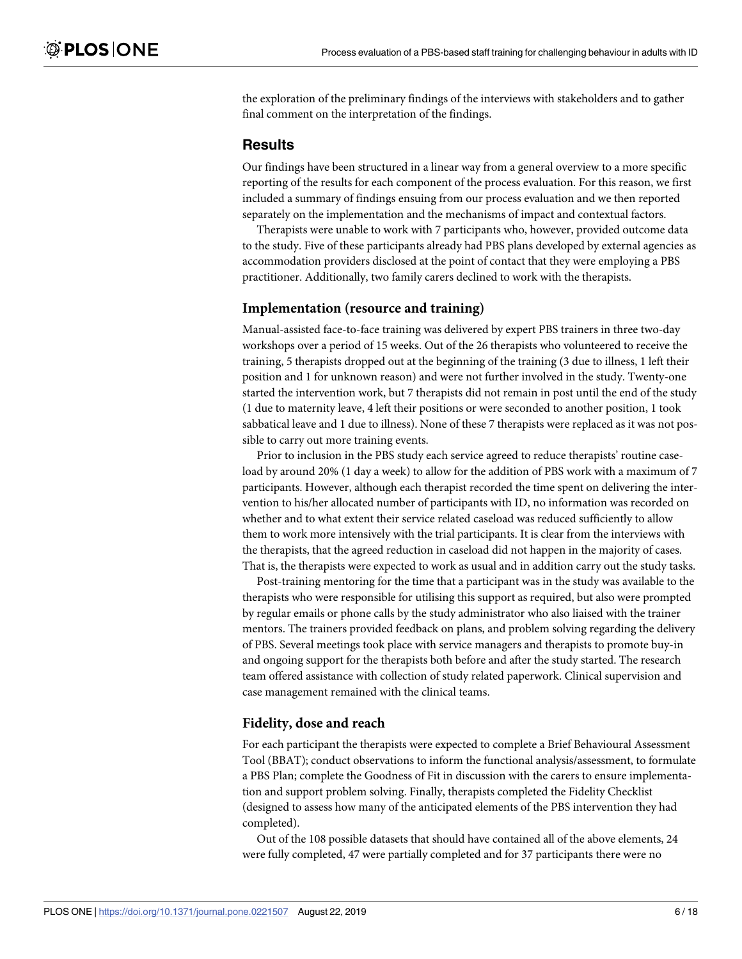the exploration of the preliminary findings of the interviews with stakeholders and to gather final comment on the interpretation of the findings.

### **Results**

Our findings have been structured in a linear way from a general overview to a more specific reporting of the results for each component of the process evaluation. For this reason, we first included a summary of findings ensuing from our process evaluation and we then reported separately on the implementation and the mechanisms of impact and contextual factors.

Therapists were unable to work with 7 participants who, however, provided outcome data to the study. Five of these participants already had PBS plans developed by external agencies as accommodation providers disclosed at the point of contact that they were employing a PBS practitioner. Additionally, two family carers declined to work with the therapists.

#### **Implementation (resource and training)**

Manual-assisted face-to-face training was delivered by expert PBS trainers in three two-day workshops over a period of 15 weeks. Out of the 26 therapists who volunteered to receive the training, 5 therapists dropped out at the beginning of the training (3 due to illness, 1 left their position and 1 for unknown reason) and were not further involved in the study. Twenty-one started the intervention work, but 7 therapists did not remain in post until the end of the study (1 due to maternity leave, 4 left their positions or were seconded to another position, 1 took sabbatical leave and 1 due to illness). None of these 7 therapists were replaced as it was not possible to carry out more training events.

Prior to inclusion in the PBS study each service agreed to reduce therapists' routine caseload by around 20% (1 day a week) to allow for the addition of PBS work with a maximum of 7 participants. However, although each therapist recorded the time spent on delivering the intervention to his/her allocated number of participants with ID, no information was recorded on whether and to what extent their service related caseload was reduced sufficiently to allow them to work more intensively with the trial participants. It is clear from the interviews with the therapists, that the agreed reduction in caseload did not happen in the majority of cases. That is, the therapists were expected to work as usual and in addition carry out the study tasks.

Post-training mentoring for the time that a participant was in the study was available to the therapists who were responsible for utilising this support as required, but also were prompted by regular emails or phone calls by the study administrator who also liaised with the trainer mentors. The trainers provided feedback on plans, and problem solving regarding the delivery of PBS. Several meetings took place with service managers and therapists to promote buy-in and ongoing support for the therapists both before and after the study started. The research team offered assistance with collection of study related paperwork. Clinical supervision and case management remained with the clinical teams.

#### **Fidelity, dose and reach**

For each participant the therapists were expected to complete a Brief Behavioural Assessment Tool (BBAT); conduct observations to inform the functional analysis/assessment, to formulate a PBS Plan; complete the Goodness of Fit in discussion with the carers to ensure implementation and support problem solving. Finally, therapists completed the Fidelity Checklist (designed to assess how many of the anticipated elements of the PBS intervention they had completed).

Out of the 108 possible datasets that should have contained all of the above elements, 24 were fully completed, 47 were partially completed and for 37 participants there were no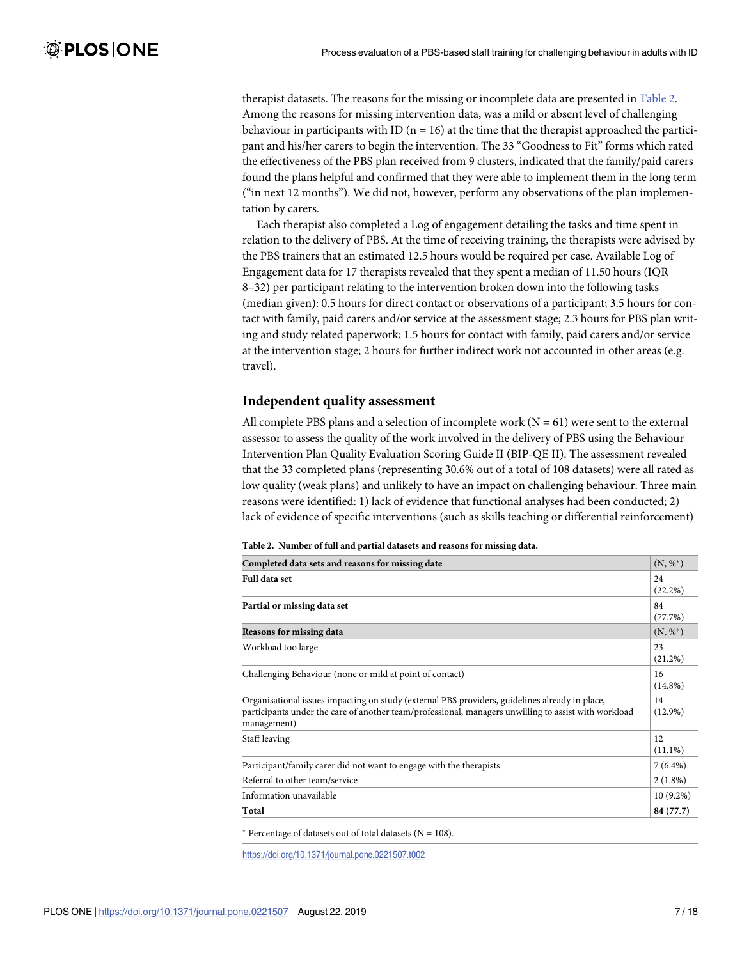therapist datasets. The reasons for the missing or incomplete data are presented in Table 2. Among the reasons for missing intervention data, was a mild or absent level of challenging behaviour in participants with ID ( $n = 16$ ) at the time that the therapist approached the participant and his/her carers to begin the intervention. The 33 "Goodness to Fit" forms which rated the effectiveness of the PBS plan received from 9 clusters, indicated that the family/paid carers found the plans helpful and confirmed that they were able to implement them in the long term ("in next 12 months"). We did not, however, perform any observations of the plan implementation by carers.

Each therapist also completed a Log of engagement detailing the tasks and time spent in relation to the delivery of PBS. At the time of receiving training, the therapists were advised by the PBS trainers that an estimated 12.5 hours would be required per case. Available Log of Engagement data for 17 therapists revealed that they spent a median of 11.50 hours (IQR 8–32) per participant relating to the intervention broken down into the following tasks (median given): 0.5 hours for direct contact or observations of a participant; 3.5 hours for contact with family, paid carers and/or service at the assessment stage; 2.3 hours for PBS plan writing and study related paperwork; 1.5 hours for contact with family, paid carers and/or service at the intervention stage; 2 hours for further indirect work not accounted in other areas (e.g. travel).

#### **Independent quality assessment**

All complete PBS plans and a selection of incomplete work  $(N = 61)$  were sent to the external assessor to assess the quality of the work involved in the delivery of PBS using the Behaviour Intervention Plan Quality Evaluation Scoring Guide II (BIP-QE II). The assessment revealed that the 33 completed plans (representing 30.6% out of a total of 108 datasets) were all rated as low quality (weak plans) and unlikely to have an impact on challenging behaviour. Three main reasons were identified: 1) lack of evidence that functional analyses had been conducted; 2) lack of evidence of specific interventions (such as skills teaching or differential reinforcement)

| Table 2. Number of full and partial datasets and reasons for missing data. |  |
|----------------------------------------------------------------------------|--|
|----------------------------------------------------------------------------|--|

| Completed data sets and reasons for missing date                                                                                                                                                                      | $(N, %^*)$       |  |  |
|-----------------------------------------------------------------------------------------------------------------------------------------------------------------------------------------------------------------------|------------------|--|--|
| Full data set                                                                                                                                                                                                         |                  |  |  |
| Partial or missing data set                                                                                                                                                                                           | 84<br>(77.7%)    |  |  |
| Reasons for missing data                                                                                                                                                                                              | $(N, %^*)$       |  |  |
| Workload too large                                                                                                                                                                                                    | 23<br>(21.2%)    |  |  |
| Challenging Behaviour (none or mild at point of contact)                                                                                                                                                              | 16<br>$(14.8\%)$ |  |  |
| Organisational issues impacting on study (external PBS providers, guidelines already in place,<br>participants under the care of another team/professional, managers unwilling to assist with workload<br>management) |                  |  |  |
| Staff leaving                                                                                                                                                                                                         | 12<br>$(11.1\%)$ |  |  |
| Participant/family carer did not want to engage with the therapists                                                                                                                                                   | $7(6.4\%)$       |  |  |
| Referral to other team/service                                                                                                                                                                                        | $2(1.8\%)$       |  |  |
| Information unavailable                                                                                                                                                                                               | $10(9.2\%)$      |  |  |
| Total                                                                                                                                                                                                                 | 84 (77.7)        |  |  |

\* Percentage of datasets out of total datasets ( $N = 108$ ).

<https://doi.org/10.1371/journal.pone.0221507.t002>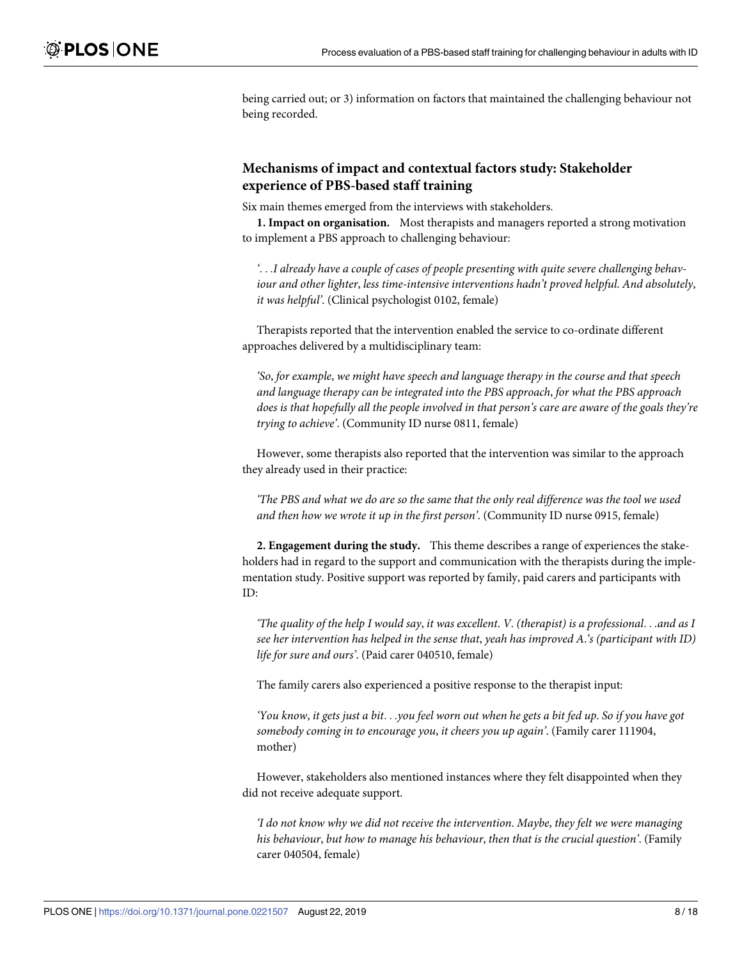being carried out; or 3) information on factors that maintained the challenging behaviour not being recorded.

## **Mechanisms of impact and contextual factors study: Stakeholder experience of PBS-based staff training**

Six main themes emerged from the interviews with stakeholders.

**1. Impact on organisation.** Most therapists and managers reported a strong motivation to implement a PBS approach to challenging behaviour:

*'*. . .*I already have a couple of cases of people presenting with quite severe challenging behaviour and other lighter*, *less time-intensive interventions hadn't proved helpful*. *And absolutely*, *it was helpful'*. (Clinical psychologist 0102, female)

Therapists reported that the intervention enabled the service to co-ordinate different approaches delivered by a multidisciplinary team:

*'So*, *for example*, *we might have speech and language therapy in the course and that speech and language therapy can be integrated into the PBS approach*, *for what the PBS approach* does is that hopefully all the people involved in that person's care are aware of the goals they're *trying to achieve'*. (Community ID nurse 0811, female)

However, some therapists also reported that the intervention was similar to the approach they already used in their practice:

'The PBS and what we do are so the same that the only real difference was the tool we used *and then how we wrote it up in the first person'*. (Community ID nurse 0915, female)

**2. Engagement during the study.** This theme describes a range of experiences the stakeholders had in regard to the support and communication with the therapists during the implementation study. Positive support was reported by family, paid carers and participants with ID:

'The quality of the help I would say, it was excellent. V. (therapist) is a professional. . . and as I *see her intervention has helped in the sense that*, *yeah has improved A*.*'s (participant with ID) life for sure and ours'*. (Paid carer 040510, female)

The family carers also experienced a positive response to the therapist input:

You know, it gets just a bit. . .you feel worn out when he gets a bit fed up. So if you have got *somebody coming in to encourage you*, *it cheers you up again'*. (Family carer 111904, mother)

However, stakeholders also mentioned instances where they felt disappointed when they did not receive adequate support.

*'I do not know why we did not receive the intervention*. *Maybe*, *they felt we were managing his behaviour*, *but how to manage his behaviour*, *then that is the crucial question'*. (Family carer 040504, female)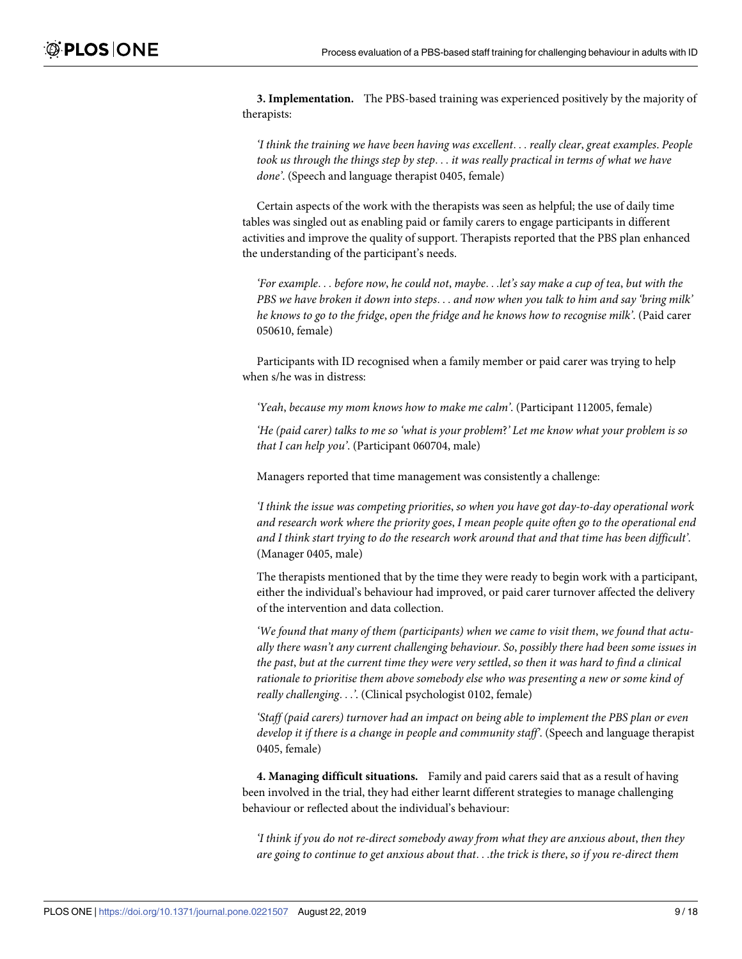**3. Implementation.** The PBS-based training was experienced positively by the majority of therapists:

*'I think the training we have been having was excellent*. . . *really clear*, *great examples*. *People took us through the things step by step*. . . *it was really practical in terms of what we have done'*. (Speech and language therapist 0405, female)

Certain aspects of the work with the therapists was seen as helpful; the use of daily time tables was singled out as enabling paid or family carers to engage participants in different activities and improve the quality of support. Therapists reported that the PBS plan enhanced the understanding of the participant's needs.

*'For example*. . . *before now*, *he could not*, *maybe*. . .*let's say make a cup of tea*, *but with the* PBS we have broken it down into steps... and now when you talk to him and say 'bring milk' *he knows to go to the fridge*, *open the fridge and he knows how to recognise milk'*. (Paid carer 050610, female)

Participants with ID recognised when a family member or paid carer was trying to help when s/he was in distress:

*'Yeah*, *because my mom knows how to make me calm'*. (Participant 112005, female)

He (paid carer) talks to me so 'what is your problem?' Let me know what your problem is so''' *that I can help you'*. (Participant 060704, male)

Managers reported that time management was consistently a challenge:

*'I think the issue was competing priorities*, *so when you have got day-to-day operational work and research work where the priority goes*, *I mean people quite often go to the operational end and I think start trying to do the research work around that and that time has been difficult'*. (Manager 0405, male)

The therapists mentioned that by the time they were ready to begin work with a participant, either the individual's behaviour had improved, or paid carer turnover affected the delivery of the intervention and data collection.

*'We found that many of them (participants) when we came to visit them*, *we found that actually there wasn't any current challenging behaviour*. *So*, *possibly there had been some issues in* the past, but at the current time they were very settled, so then it was hard to find a clinical *rationale to prioritise them above somebody else who was presenting a new or some kind of really challenging*. . .*'*. (Clinical psychologist 0102, female)

*'Staff (paid carers) turnover had an impact on being able to implement the PBS plan or even develop it if there is a change in people and community staff'*. (Speech and language therapist 0405, female)

**4. Managing difficult situations.** Family and paid carers said that as a result of having been involved in the trial, they had either learnt different strategies to manage challenging behaviour or reflected about the individual's behaviour:

*'I think if you do not re-direct somebody away from what they are anxious about*, *then they are going to continue to get anxious about that*. . .*the trick is there*, *so if you re-direct them*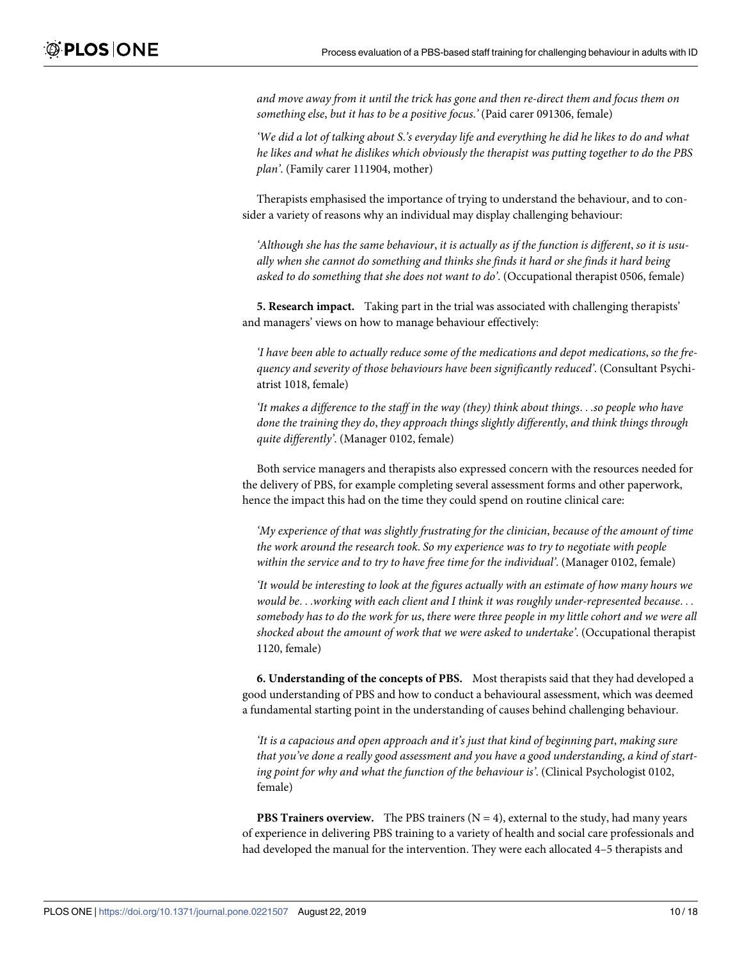*and move away from it until the trick has gone and then re-direct them and focus them on something else*, *but it has to be a positive focus*.*'* (Paid carer 091306, female)

We did a lot of talking about S.'s everyday life and everything he did he likes to do and what *he likes and what he dislikes which obviously the therapist was putting together to do the PBS plan'*. (Family carer 111904, mother)

Therapists emphasised the importance of trying to understand the behaviour, and to consider a variety of reasons why an individual may display challenging behaviour:

'Although she has the same behaviour, it is actually as if the function is different, so it is usu*ally when she cannot do something and thinks she finds it hard or she finds it hard being asked to do something that she does not want to do'*. (Occupational therapist 0506, female)

**5. Research impact.** Taking part in the trial was associated with challenging therapists' and managers' views on how to manage behaviour effectively:

*'I have been able to actually reduce some of the medications and depot medications*, *so the frequency and severity of those behaviours have been significantly reduced'*. (Consultant Psychiatrist 1018, female)

*'It makes a difference to the staff in the way (they) think about things*. . .*so people who have done the training they do*, *they approach things slightly differently*, *and think things through quite differently'*. (Manager 0102, female)

Both service managers and therapists also expressed concern with the resources needed for the delivery of PBS, for example completing several assessment forms and other paperwork, hence the impact this had on the time they could spend on routine clinical care:

*'My experience of that was slightly frustrating for the clinician*, *because of the amount of time the work around the research took*. *So my experience was to try to negotiate with people within the service and to try to have free time for the individual'*. (Manager 0102, female)

*'It would be interesting to look at the figures actually with an estimate of how many hours we would be*. . .*working with each client and I think it was roughly under-represented because*. . . somebody has to do the work for us, there were three people in my little cohort and we were all *shocked about the amount of work that we were asked to undertake'*. (Occupational therapist 1120, female)

**6. Understanding of the concepts of PBS.** Most therapists said that they had developed a good understanding of PBS and how to conduct a behavioural assessment, which was deemed a fundamental starting point in the understanding of causes behind challenging behaviour.

*'It is a capacious and open approach and it's just that kind of beginning part*, *making sure that you've done a really good assessment and you have a good understanding*, *a kind of starting point for why and what the function of the behaviour is'*. (Clinical Psychologist 0102, female)

**PBS Trainers overview.** The PBS trainers  $(N = 4)$ , external to the study, had many years of experience in delivering PBS training to a variety of health and social care professionals and had developed the manual for the intervention. They were each allocated 4–5 therapists and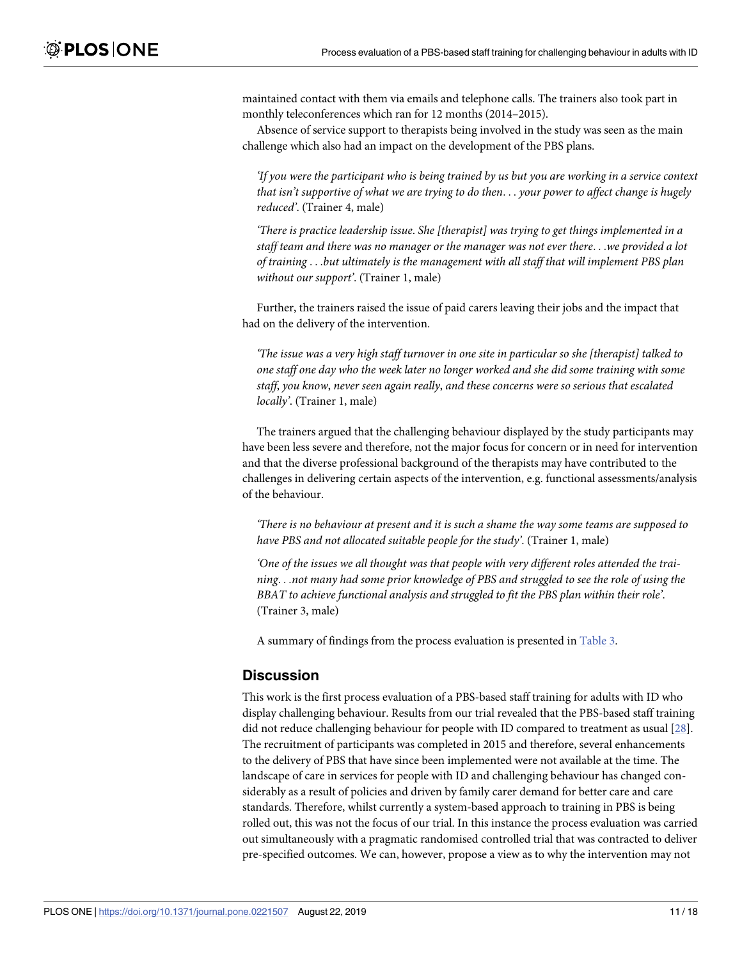<span id="page-10-0"></span>maintained contact with them via emails and telephone calls. The trainers also took part in monthly teleconferences which ran for 12 months (2014–2015).

Absence of service support to therapists being involved in the study was seen as the main challenge which also had an impact on the development of the PBS plans.

If you were the participant who is being trained by us but you are working in a service context *that isn't supportive of what we are trying to do then*. . . *your power to affect change is hugely reduced'*. (Trainer 4, male)

*'There is practice leadership issue*. *She [therapist] was trying to get things implemented in a staff team and there was no manager or the manager was not ever there*. . .*we provided a lot of training* . . .*but ultimately is the management with all staff that will implement PBS plan without our support'*. (Trainer 1, male)

Further, the trainers raised the issue of paid carers leaving their jobs and the impact that had on the delivery of the intervention.

*'The issue was a very high staff turnover in one site in particular so she [therapist] talked to one staff one day who the week later no longer worked and she did some training with some staff*, *you know*, *never seen again really*, *and these concerns were so serious that escalated locally'*. (Trainer 1, male)

The trainers argued that the challenging behaviour displayed by the study participants may have been less severe and therefore, not the major focus for concern or in need for intervention and that the diverse professional background of the therapists may have contributed to the challenges in delivering certain aspects of the intervention, e.g. functional assessments/analysis of the behaviour.

*'There is no behaviour at present and it is such a shame the way some teams are supposed to have PBS and not allocated suitable people for the study'*. (Trainer 1, male)

*'One of the issues we all thought was that people with very different roles attended the training*. . .*not many had some prior knowledge of PBS and struggled to see the role of using the BBAT to achieve functional analysis and struggled to fit the PBS plan within their role'*. (Trainer 3, male)

A summary of findings from the process evaluation is presented in [Table](#page-11-0) 3.

### **Discussion**

This work is the first process evaluation of a PBS-based staff training for adults with ID who display challenging behaviour. Results from our trial revealed that the PBS-based staff training did not reduce challenging behaviour for people with ID compared to treatment as usual [\[28\]](#page-16-0). The recruitment of participants was completed in 2015 and therefore, several enhancements to the delivery of PBS that have since been implemented were not available at the time. The landscape of care in services for people with ID and challenging behaviour has changed considerably as a result of policies and driven by family carer demand for better care and care standards. Therefore, whilst currently a system-based approach to training in PBS is being rolled out, this was not the focus of our trial. In this instance the process evaluation was carried out simultaneously with a pragmatic randomised controlled trial that was contracted to deliver pre-specified outcomes. We can, however, propose a view as to why the intervention may not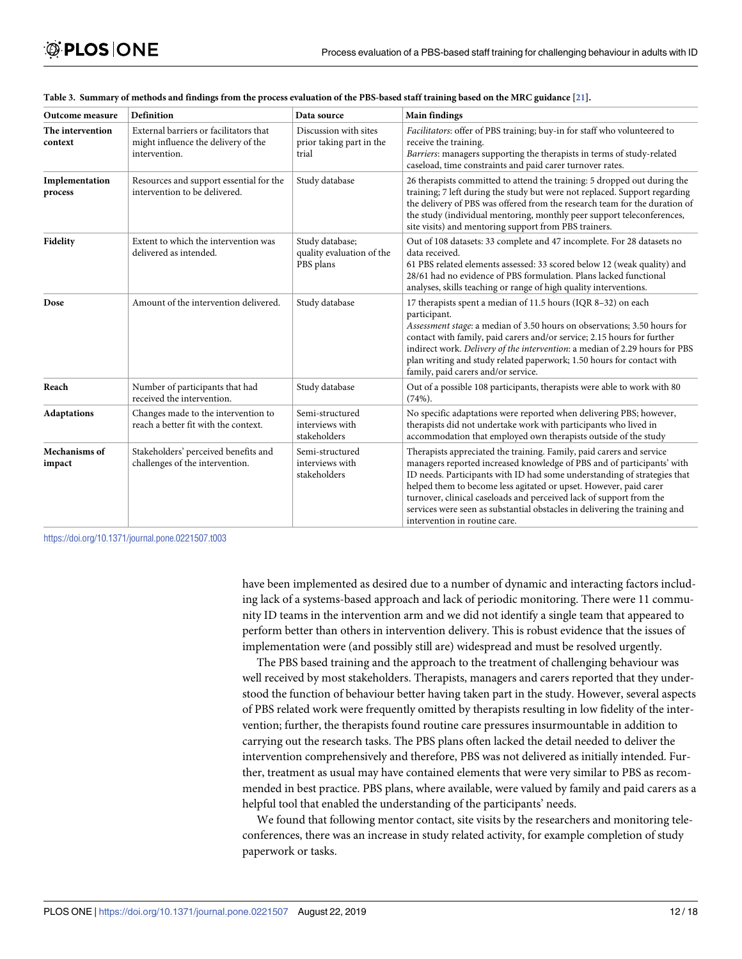| Outcome measure             | Definition                                                                                     | Data source                                                | <b>Main findings</b>                                                                                                                                                                                                                                                                                                                                                                                                                                                                  |  |
|-----------------------------|------------------------------------------------------------------------------------------------|------------------------------------------------------------|---------------------------------------------------------------------------------------------------------------------------------------------------------------------------------------------------------------------------------------------------------------------------------------------------------------------------------------------------------------------------------------------------------------------------------------------------------------------------------------|--|
| The intervention<br>context | External barriers or facilitators that<br>might influence the delivery of the<br>intervention. | Discussion with sites<br>prior taking part in the<br>trial | Facilitators: offer of PBS training; buy-in for staff who volunteered to<br>receive the training.<br>Barriers: managers supporting the therapists in terms of study-related<br>caseload, time constraints and paid carer turnover rates.                                                                                                                                                                                                                                              |  |
| Implementation<br>process   | Resources and support essential for the<br>intervention to be delivered.                       | Study database                                             | 26 therapists committed to attend the training: 5 dropped out during the<br>training; 7 left during the study but were not replaced. Support regarding<br>the delivery of PBS was offered from the research team for the duration of<br>the study (individual mentoring, monthly peer support teleconferences,<br>site visits) and mentoring support from PBS trainers.                                                                                                               |  |
| Fidelity                    | Extent to which the intervention was<br>delivered as intended.                                 | Study database;<br>quality evaluation of the<br>PBS plans  | Out of 108 datasets: 33 complete and 47 incomplete. For 28 datasets no<br>data received.<br>61 PBS related elements assessed: 33 scored below 12 (weak quality) and<br>28/61 had no evidence of PBS formulation. Plans lacked functional<br>analyses, skills teaching or range of high quality interventions.                                                                                                                                                                         |  |
| Dose                        | Amount of the intervention delivered.                                                          | Study database                                             | 17 therapists spent a median of 11.5 hours (IQR 8-32) on each<br>participant.<br>Assessment stage: a median of 3.50 hours on observations; 3.50 hours for<br>contact with family, paid carers and/or service; 2.15 hours for further<br>indirect work. Delivery of the intervention: a median of 2.29 hours for PBS<br>plan writing and study related paperwork; 1.50 hours for contact with<br>family, paid carers and/or service.                                                   |  |
| Reach                       | Number of participants that had<br>received the intervention.                                  | Study database                                             | Out of a possible 108 participants, therapists were able to work with 80<br>$(74%)$ .                                                                                                                                                                                                                                                                                                                                                                                                 |  |
| <b>Adaptations</b>          | Changes made to the intervention to<br>reach a better fit with the context.                    | Semi-structured<br>interviews with<br>stakeholders         | No specific adaptations were reported when delivering PBS; however,<br>therapists did not undertake work with participants who lived in<br>accommodation that employed own therapists outside of the study                                                                                                                                                                                                                                                                            |  |
| Mechanisms of<br>impact     | Stakeholders' perceived benefits and<br>challenges of the intervention.                        | Semi-structured<br>interviews with<br>stakeholders         | Therapists appreciated the training. Family, paid carers and service<br>managers reported increased knowledge of PBS and of participants' with<br>ID needs. Participants with ID had some understanding of strategies that<br>helped them to become less agitated or upset. However, paid carer<br>turnover, clinical caseloads and perceived lack of support from the<br>services were seen as substantial obstacles in delivering the training and<br>intervention in routine care. |  |

<span id="page-11-0"></span>

|  | Table 3. Summary of methods and findings from the process evaluation of the PBS-based staff training based on the MRC guidance [21]. |  |  |
|--|--------------------------------------------------------------------------------------------------------------------------------------|--|--|
|  |                                                                                                                                      |  |  |

<https://doi.org/10.1371/journal.pone.0221507.t003>

have been implemented as desired due to a number of dynamic and interacting factors including lack of a systems-based approach and lack of periodic monitoring. There were 11 community ID teams in the intervention arm and we did not identify a single team that appeared to perform better than others in intervention delivery. This is robust evidence that the issues of implementation were (and possibly still are) widespread and must be resolved urgently.

The PBS based training and the approach to the treatment of challenging behaviour was well received by most stakeholders. Therapists, managers and carers reported that they understood the function of behaviour better having taken part in the study. However, several aspects of PBS related work were frequently omitted by therapists resulting in low fidelity of the intervention; further, the therapists found routine care pressures insurmountable in addition to carrying out the research tasks. The PBS plans often lacked the detail needed to deliver the intervention comprehensively and therefore, PBS was not delivered as initially intended. Further, treatment as usual may have contained elements that were very similar to PBS as recommended in best practice. PBS plans, where available, were valued by family and paid carers as a helpful tool that enabled the understanding of the participants' needs.

We found that following mentor contact, site visits by the researchers and monitoring teleconferences, there was an increase in study related activity, for example completion of study paperwork or tasks.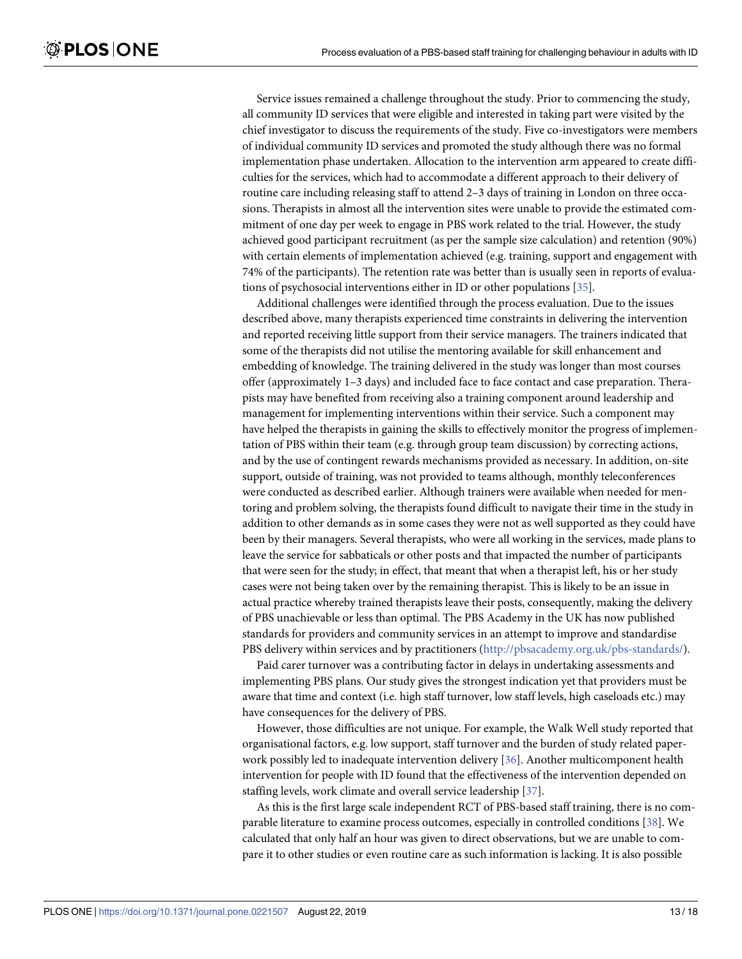<span id="page-12-0"></span>Service issues remained a challenge throughout the study. Prior to commencing the study, all community ID services that were eligible and interested in taking part were visited by the chief investigator to discuss the requirements of the study. Five co-investigators were members of individual community ID services and promoted the study although there was no formal implementation phase undertaken. Allocation to the intervention arm appeared to create difficulties for the services, which had to accommodate a different approach to their delivery of routine care including releasing staff to attend 2–3 days of training in London on three occasions. Therapists in almost all the intervention sites were unable to provide the estimated commitment of one day per week to engage in PBS work related to the trial. However, the study achieved good participant recruitment (as per the sample size calculation) and retention (90%) with certain elements of implementation achieved (e.g. training, support and engagement with 74% of the participants). The retention rate was better than is usually seen in reports of evaluations of psychosocial interventions either in ID or other populations [\[35\]](#page-16-0).

Additional challenges were identified through the process evaluation. Due to the issues described above, many therapists experienced time constraints in delivering the intervention and reported receiving little support from their service managers. The trainers indicated that some of the therapists did not utilise the mentoring available for skill enhancement and embedding of knowledge. The training delivered in the study was longer than most courses offer (approximately 1–3 days) and included face to face contact and case preparation. Therapists may have benefited from receiving also a training component around leadership and management for implementing interventions within their service. Such a component may have helped the therapists in gaining the skills to effectively monitor the progress of implementation of PBS within their team (e.g. through group team discussion) by correcting actions, and by the use of contingent rewards mechanisms provided as necessary. In addition, on-site support, outside of training, was not provided to teams although, monthly teleconferences were conducted as described earlier. Although trainers were available when needed for mentoring and problem solving, the therapists found difficult to navigate their time in the study in addition to other demands as in some cases they were not as well supported as they could have been by their managers. Several therapists, who were all working in the services, made plans to leave the service for sabbaticals or other posts and that impacted the number of participants that were seen for the study; in effect, that meant that when a therapist left, his or her study cases were not being taken over by the remaining therapist. This is likely to be an issue in actual practice whereby trained therapists leave their posts, consequently, making the delivery of PBS unachievable or less than optimal. The PBS Academy in the UK has now published standards for providers and community services in an attempt to improve and standardise PBS delivery within services and by practitioners [\(http://pbsacademy.org.uk/pbs-standards/\)](http://pbsacademy.org.uk/pbs-standards/).

Paid carer turnover was a contributing factor in delays in undertaking assessments and implementing PBS plans. Our study gives the strongest indication yet that providers must be aware that time and context (i.e. high staff turnover, low staff levels, high caseloads etc.) may have consequences for the delivery of PBS.

However, those difficulties are not unique. For example, the Walk Well study reported that organisational factors, e.g. low support, staff turnover and the burden of study related paperwork possibly led to inadequate intervention delivery [[36](#page-16-0)]. Another multicomponent health intervention for people with ID found that the effectiveness of the intervention depended on staffing levels, work climate and overall service leadership [\[37\]](#page-16-0).

As this is the first large scale independent RCT of PBS-based staff training, there is no comparable literature to examine process outcomes, especially in controlled conditions [\[38\]](#page-16-0). We calculated that only half an hour was given to direct observations, but we are unable to compare it to other studies or even routine care as such information is lacking. It is also possible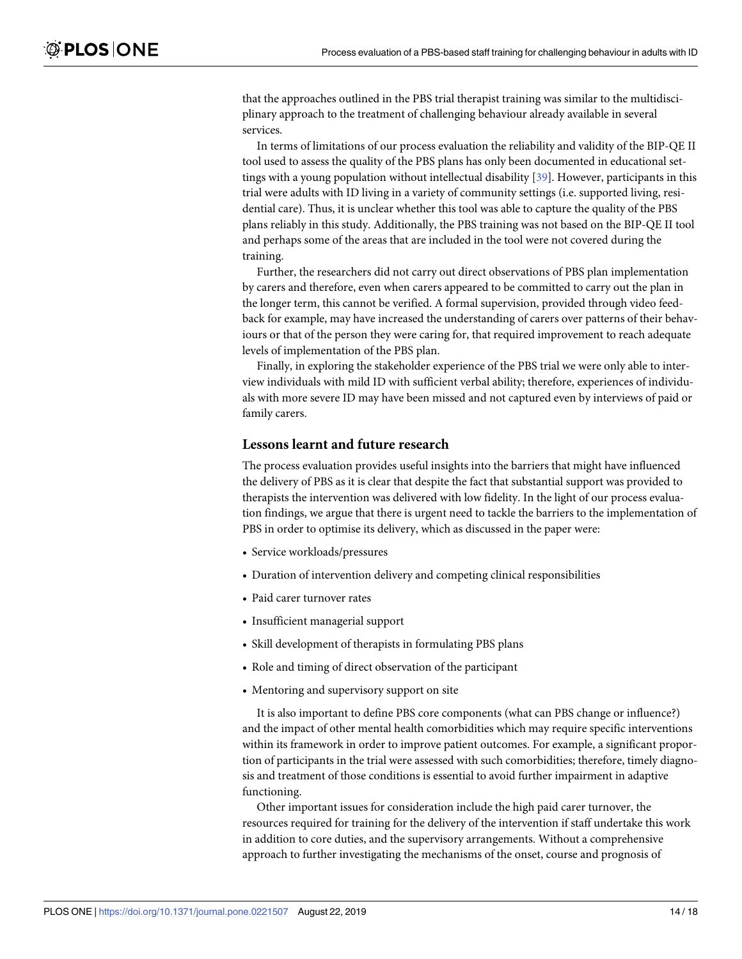<span id="page-13-0"></span>that the approaches outlined in the PBS trial therapist training was similar to the multidisciplinary approach to the treatment of challenging behaviour already available in several services.

In terms of limitations of our process evaluation the reliability and validity of the BIP-QE II tool used to assess the quality of the PBS plans has only been documented in educational settings with a young population without intellectual disability [\[39\]](#page-17-0). However, participants in this trial were adults with ID living in a variety of community settings (i.e. supported living, residential care). Thus, it is unclear whether this tool was able to capture the quality of the PBS plans reliably in this study. Additionally, the PBS training was not based on the BIP-QE II tool and perhaps some of the areas that are included in the tool were not covered during the training.

Further, the researchers did not carry out direct observations of PBS plan implementation by carers and therefore, even when carers appeared to be committed to carry out the plan in the longer term, this cannot be verified. A formal supervision, provided through video feedback for example, may have increased the understanding of carers over patterns of their behaviours or that of the person they were caring for, that required improvement to reach adequate levels of implementation of the PBS plan.

Finally, in exploring the stakeholder experience of the PBS trial we were only able to interview individuals with mild ID with sufficient verbal ability; therefore, experiences of individuals with more severe ID may have been missed and not captured even by interviews of paid or family carers.

#### **Lessons learnt and future research**

The process evaluation provides useful insights into the barriers that might have influenced the delivery of PBS as it is clear that despite the fact that substantial support was provided to therapists the intervention was delivered with low fidelity. In the light of our process evaluation findings, we argue that there is urgent need to tackle the barriers to the implementation of PBS in order to optimise its delivery, which as discussed in the paper were:

- Service workloads/pressures
- Duration of intervention delivery and competing clinical responsibilities
- Paid carer turnover rates
- Insufficient managerial support
- Skill development of therapists in formulating PBS plans
- Role and timing of direct observation of the participant
- Mentoring and supervisory support on site

It is also important to define PBS core components (what can PBS change or influence?) and the impact of other mental health comorbidities which may require specific interventions within its framework in order to improve patient outcomes. For example, a significant proportion of participants in the trial were assessed with such comorbidities; therefore, timely diagnosis and treatment of those conditions is essential to avoid further impairment in adaptive functioning.

Other important issues for consideration include the high paid carer turnover, the resources required for training for the delivery of the intervention if staff undertake this work in addition to core duties, and the supervisory arrangements. Without a comprehensive approach to further investigating the mechanisms of the onset, course and prognosis of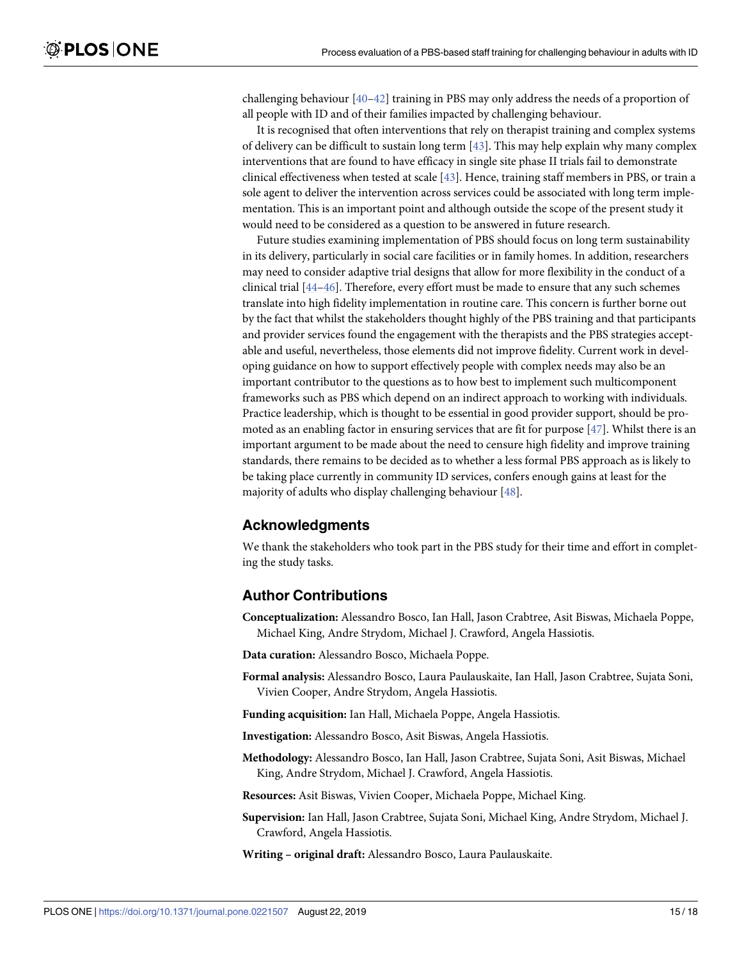<span id="page-14-0"></span>challenging behaviour [[40](#page-17-0)–[42](#page-17-0)] training in PBS may only address the needs of a proportion of all people with ID and of their families impacted by challenging behaviour.

It is recognised that often interventions that rely on therapist training and complex systems of delivery can be difficult to sustain long term [\[43\]](#page-17-0). This may help explain why many complex interventions that are found to have efficacy in single site phase II trials fail to demonstrate clinical effectiveness when tested at scale [\[43\]](#page-17-0). Hence, training staff members in PBS, or train a sole agent to deliver the intervention across services could be associated with long term implementation. This is an important point and although outside the scope of the present study it would need to be considered as a question to be answered in future research.

Future studies examining implementation of PBS should focus on long term sustainability in its delivery, particularly in social care facilities or in family homes. In addition, researchers may need to consider adaptive trial designs that allow for more flexibility in the conduct of a clinical trial [[44–46\]](#page-17-0). Therefore, every effort must be made to ensure that any such schemes translate into high fidelity implementation in routine care. This concern is further borne out by the fact that whilst the stakeholders thought highly of the PBS training and that participants and provider services found the engagement with the therapists and the PBS strategies acceptable and useful, nevertheless, those elements did not improve fidelity. Current work in developing guidance on how to support effectively people with complex needs may also be an important contributor to the questions as to how best to implement such multicomponent frameworks such as PBS which depend on an indirect approach to working with individuals. Practice leadership, which is thought to be essential in good provider support, should be promoted as an enabling factor in ensuring services that are fit for purpose [[47](#page-17-0)]. Whilst there is an important argument to be made about the need to censure high fidelity and improve training standards, there remains to be decided as to whether a less formal PBS approach as is likely to be taking place currently in community ID services, confers enough gains at least for the majority of adults who display challenging behaviour [\[48\]](#page-17-0).

## **Acknowledgments**

We thank the stakeholders who took part in the PBS study for their time and effort in completing the study tasks.

## **Author Contributions**

- **Conceptualization:** Alessandro Bosco, Ian Hall, Jason Crabtree, Asit Biswas, Michaela Poppe, Michael King, Andre Strydom, Michael J. Crawford, Angela Hassiotis.
- **Data curation:** Alessandro Bosco, Michaela Poppe.
- **Formal analysis:** Alessandro Bosco, Laura Paulauskaite, Ian Hall, Jason Crabtree, Sujata Soni, Vivien Cooper, Andre Strydom, Angela Hassiotis.
- **Funding acquisition:** Ian Hall, Michaela Poppe, Angela Hassiotis.
- **Investigation:** Alessandro Bosco, Asit Biswas, Angela Hassiotis.
- **Methodology:** Alessandro Bosco, Ian Hall, Jason Crabtree, Sujata Soni, Asit Biswas, Michael King, Andre Strydom, Michael J. Crawford, Angela Hassiotis.

**Resources:** Asit Biswas, Vivien Cooper, Michaela Poppe, Michael King.

- **Supervision:** Ian Hall, Jason Crabtree, Sujata Soni, Michael King, Andre Strydom, Michael J. Crawford, Angela Hassiotis.
- **Writing – original draft:** Alessandro Bosco, Laura Paulauskaite.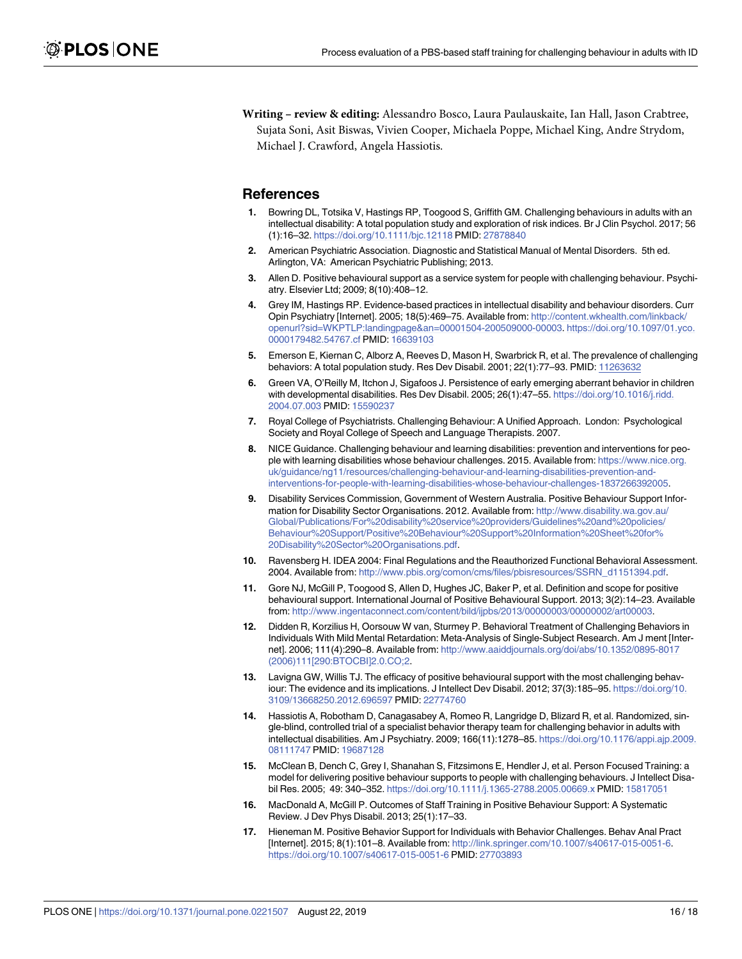<span id="page-15-0"></span>**Writing – review & editing:** Alessandro Bosco, Laura Paulauskaite, Ian Hall, Jason Crabtree, Sujata Soni, Asit Biswas, Vivien Cooper, Michaela Poppe, Michael King, Andre Strydom, Michael J. Crawford, Angela Hassiotis.

#### **References**

- **[1](#page-1-0).** Bowring DL, Totsika V, Hastings RP, Toogood S, Griffith GM. Challenging behaviours in adults with an intellectual disability: A total population study and exploration of risk indices. Br J Clin Psychol. 2017; 56 (1):16–32. <https://doi.org/10.1111/bjc.12118> PMID: [27878840](http://www.ncbi.nlm.nih.gov/pubmed/27878840)
- **[2](#page-1-0).** American Psychiatric Association. Diagnostic and Statistical Manual of Mental Disorders. 5th ed. Arlington, VA: American Psychiatric Publishing; 2013.
- **[3](#page-1-0).** Allen D. Positive behavioural support as a service system for people with challenging behaviour. Psychiatry. Elsevier Ltd; 2009; 8(10):408–12.
- **[4](#page-1-0).** Grey IM, Hastings RP. Evidence-based practices in intellectual disability and behaviour disorders. Curr Opin Psychiatry [Internet]. 2005; 18(5):469–75. Available from: [http://content.wkhealth.com/linkback/](http://content.wkhealth.com/linkback/openurl?sid=WKPTLP:landingpage&an=00001504-200509000-00003) [openurl?sid=WKPTLP:landingpage&an=00001504-200509000-00003.](http://content.wkhealth.com/linkback/openurl?sid=WKPTLP:landingpage&an=00001504-200509000-00003) [https://doi.org/10.1097/01.yco.](https://doi.org/10.1097/01.yco.0000179482.54767.cf) [0000179482.54767.cf](https://doi.org/10.1097/01.yco.0000179482.54767.cf) PMID: [16639103](http://www.ncbi.nlm.nih.gov/pubmed/16639103)
- **[5](#page-1-0).** Emerson E, Kiernan C, Alborz A, Reeves D, Mason H, Swarbrick R, et al. The prevalence of challenging behaviors: A total population study. Res Dev Disabil. 2001; 22(1):77-93. PMID: [11263632](http://www.ncbi.nlm.nih.gov/pubmed/11263632)
- **[6](#page-1-0).** Green VA, O'Reilly M, Itchon J, Sigafoos J. Persistence of early emerging aberrant behavior in children with developmental disabilities. Res Dev Disabil. 2005; 26(1):47–55. [https://doi.org/10.1016/j.ridd.](https://doi.org/10.1016/j.ridd.2004.07.003) [2004.07.003](https://doi.org/10.1016/j.ridd.2004.07.003) PMID: [15590237](http://www.ncbi.nlm.nih.gov/pubmed/15590237)
- **[7](#page-1-0).** Royal College of Psychiatrists. Challenging Behaviour: A Unified Approach. London: Psychological Society and Royal College of Speech and Language Therapists. 2007.
- **8.** NICE Guidance. Challenging behaviour and learning disabilities: prevention and interventions for people with learning disabilities whose behaviour challenges. 2015. Available from: [https://www.nice.org.](https://www.nice.org.uk/guidance/ng11/resources/challenging-behaviour-and-learning-disabilities-prevention-and-interventions-for-people-with-learning-disabilities-whose-behaviour-challenges-1837266392005) [uk/guidance/ng11/resources/challenging-behaviour-and-learning-disabilities-prevention-and](https://www.nice.org.uk/guidance/ng11/resources/challenging-behaviour-and-learning-disabilities-prevention-and-interventions-for-people-with-learning-disabilities-whose-behaviour-challenges-1837266392005)[interventions-for-people-with-learning-disabilities-whose-behaviour-challenges-1837266392005.](https://www.nice.org.uk/guidance/ng11/resources/challenging-behaviour-and-learning-disabilities-prevention-and-interventions-for-people-with-learning-disabilities-whose-behaviour-challenges-1837266392005)
- **9.** Disability Services Commission, Government of Western Australia. Positive Behaviour Support Information for Disability Sector Organisations. 2012. Available from: [http://www.disability.wa.gov.au/](http://www.disability.wa.gov.au/Global/Publications/For%20disability%20service%20providers/Guidelines%20and%20policies/Behaviour%20Support/Positive%20Behaviour%20Support%20Information%20Sheet%20for%20Disability%20Sector%20Organisations.pdf) [Global/Publications/For%20disability%20service%20providers/Guidelines%20and%20policies/](http://www.disability.wa.gov.au/Global/Publications/For%20disability%20service%20providers/Guidelines%20and%20policies/Behaviour%20Support/Positive%20Behaviour%20Support%20Information%20Sheet%20for%20Disability%20Sector%20Organisations.pdf) [Behaviour%20Support/Positive%20Behaviour%20Support%20Information%20Sheet%20for%](http://www.disability.wa.gov.au/Global/Publications/For%20disability%20service%20providers/Guidelines%20and%20policies/Behaviour%20Support/Positive%20Behaviour%20Support%20Information%20Sheet%20for%20Disability%20Sector%20Organisations.pdf) [20Disability%20Sector%20Organisations.pdf](http://www.disability.wa.gov.au/Global/Publications/For%20disability%20service%20providers/Guidelines%20and%20policies/Behaviour%20Support/Positive%20Behaviour%20Support%20Information%20Sheet%20for%20Disability%20Sector%20Organisations.pdf).
- **[10](#page-1-0).** Ravensberg H. IDEA 2004: Final Regulations and the Reauthorized Functional Behavioral Assessment. 2004. Available from: [http://www.pbis.org/comon/cms/files/pbisresources/SSRN\\_d1151394.pdf](http://www.pbis.org/comon/cms/files/pbisresources/SSRN_d1151394.pdf).
- **[11](#page-1-0).** Gore NJ, McGill P, Toogood S, Allen D, Hughes JC, Baker P, et al. Definition and scope for positive behavioural support. International Journal of Positive Behavioural Support. 2013; 3(2):14–23. Available from: <http://www.ingentaconnect.com/content/bild/ijpbs/2013/00000003/00000002/art00003>.
- **[12](#page-1-0).** Didden R, Korzilius H, Oorsouw W van, Sturmey P. Behavioral Treatment of Challenging Behaviors in Individuals With Mild Mental Retardation: Meta-Analysis of Single-Subject Research. Am J ment [Internet]. 2006; 111(4):290–8. Available from: [http://www.aaiddjournals.org/doi/abs/10.1352/0895-8017](http://www.aaiddjournals.org/doi/abs/10.1352/0895-8017(2006)111[290:BTOCBI]2.0.CO;2) [\(2006\)111\[290:BTOCBI\]2.0.CO;2](http://www.aaiddjournals.org/doi/abs/10.1352/0895-8017(2006)111[290:BTOCBI]2.0.CO;2).
- **[13](#page-1-0).** Lavigna GW, Willis TJ. The efficacy of positive behavioural support with the most challenging behaviour: The evidence and its implications. J Intellect Dev Disabil. 2012; 37(3):185–95. [https://doi.org/10.](https://doi.org/10.3109/13668250.2012.696597) [3109/13668250.2012.696597](https://doi.org/10.3109/13668250.2012.696597) PMID: [22774760](http://www.ncbi.nlm.nih.gov/pubmed/22774760)
- **[14](#page-1-0).** Hassiotis A, Robotham D, Canagasabey A, Romeo R, Langridge D, Blizard R, et al. Randomized, single-blind, controlled trial of a specialist behavior therapy team for challenging behavior in adults with intellectual disabilities. Am J Psychiatry. 2009; 166(11):1278–85. [https://doi.org/10.1176/appi.ajp.2009.](https://doi.org/10.1176/appi.ajp.2009.08111747) [08111747](https://doi.org/10.1176/appi.ajp.2009.08111747) PMID: [19687128](http://www.ncbi.nlm.nih.gov/pubmed/19687128)
- **[15](#page-1-0).** McClean B, Dench C, Grey I, Shanahan S, Fitzsimons E, Hendler J, et al. Person Focused Training: a model for delivering positive behaviour supports to people with challenging behaviours. J Intellect Disabil Res. 2005; 49: 340–352. <https://doi.org/10.1111/j.1365-2788.2005.00669.x> PMID: [15817051](http://www.ncbi.nlm.nih.gov/pubmed/15817051)
- **[16](#page-1-0).** MacDonald A, McGill P. Outcomes of Staff Training in Positive Behaviour Support: A Systematic Review. J Dev Phys Disabil. 2013; 25(1):17–33.
- **[17](#page-1-0).** Hieneman M. Positive Behavior Support for Individuals with Behavior Challenges. Behav Anal Pract [Internet]. 2015; 8(1):101–8. Available from: [http://link.springer.com/10.1007/s40617-015-0051-6.](http://link.springer.com/10.1007/s40617-015-0051-6) <https://doi.org/10.1007/s40617-015-0051-6> PMID: [27703893](http://www.ncbi.nlm.nih.gov/pubmed/27703893)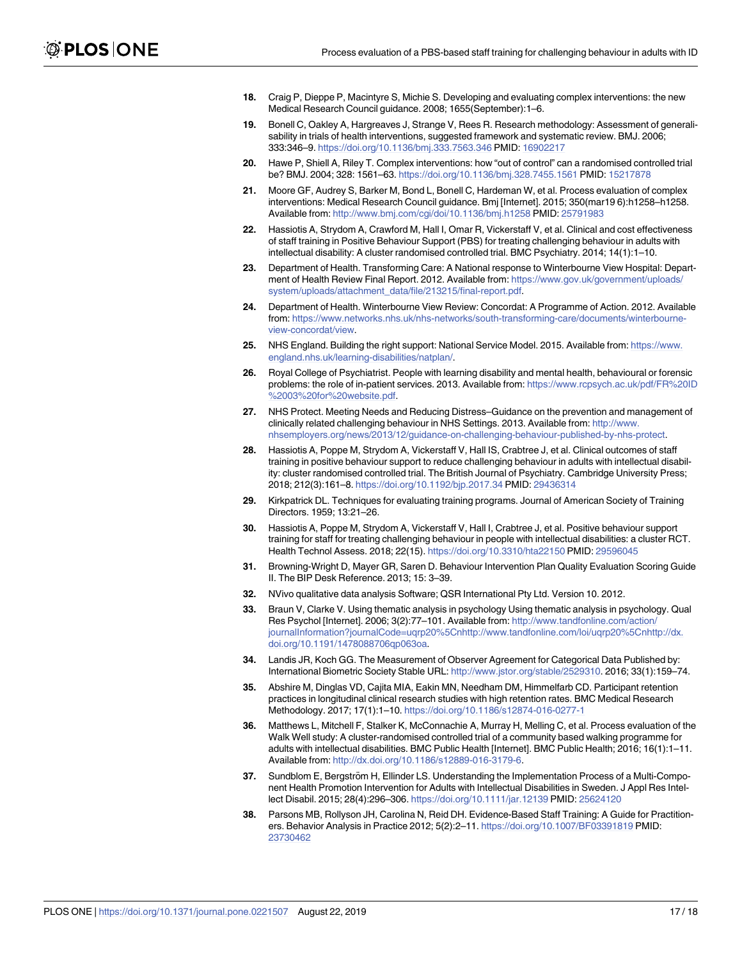- <span id="page-16-0"></span>**[18](#page-1-0).** Craig P, Dieppe P, Macintyre S, Michie S. Developing and evaluating complex interventions: the new Medical Research Council guidance. 2008; 1655(September):1–6.
- **[19](#page-1-0).** Bonell C, Oakley A, Hargreaves J, Strange V, Rees R. Research methodology: Assessment of generalisability in trials of health interventions, suggested framework and systematic review. BMJ. 2006; 333:346–9. <https://doi.org/10.1136/bmj.333.7563.346> PMID: [16902217](http://www.ncbi.nlm.nih.gov/pubmed/16902217)
- **[20](#page-2-0).** Hawe P, Shiell A, Riley T. Complex interventions: how "out of control" can a randomised controlled trial be? BMJ. 2004; 328: 1561–63. <https://doi.org/10.1136/bmj.328.7455.1561> PMID: [15217878](http://www.ncbi.nlm.nih.gov/pubmed/15217878)
- **[21](#page-2-0).** Moore GF, Audrey S, Barker M, Bond L, Bonell C, Hardeman W, et al. Process evaluation of complex interventions: Medical Research Council guidance. Bmj [Internet]. 2015; 350(mar19 6):h1258–h1258. Available from: <http://www.bmj.com/cgi/doi/10.1136/bmj.h1258> PMID: [25791983](http://www.ncbi.nlm.nih.gov/pubmed/25791983)
- **[22](#page-2-0).** Hassiotis A, Strydom A, Crawford M, Hall I, Omar R, Vickerstaff V, et al. Clinical and cost effectiveness of staff training in Positive Behaviour Support (PBS) for treating challenging behaviour in adults with intellectual disability: A cluster randomised controlled trial. BMC Psychiatry. 2014; 14(1):1–10.
- **[23](#page-2-0).** Department of Health. Transforming Care: A National response to Winterbourne View Hospital: Department of Health Review Final Report. 2012. Available from: [https://www.gov.uk/government/uploads/](https://www.gov.uk/government/uploads/system/uploads/attachment_data/file/213215/final-report.pdf) [system/uploads/attachment\\_data/file/213215/final-report.pdf](https://www.gov.uk/government/uploads/system/uploads/attachment_data/file/213215/final-report.pdf).
- **[24](#page-2-0).** Department of Health. Winterbourne View Review: Concordat: A Programme of Action. 2012. Available from: [https://www.networks.nhs.uk/nhs-networks/south-transforming-care/documents/winterbourne](https://www.networks.nhs.uk/nhs-networks/south-transforming-care/documents/winterbourne-view-concordat/view)[view-concordat/view](https://www.networks.nhs.uk/nhs-networks/south-transforming-care/documents/winterbourne-view-concordat/view).
- **25.** NHS England. Building the right support: National Service Model. 2015. Available from: [https://www.](https://www.england.nhs.uk/learning-disabilities/natplan/) [england.nhs.uk/learning-disabilities/natplan/.](https://www.england.nhs.uk/learning-disabilities/natplan/)
- **26.** Royal College of Psychiatrist. People with learning disability and mental health, behavioural or forensic problems: the role of in-patient services. 2013. Available from: [https://www.rcpsych.ac.uk/pdf/FR%20ID](https://www.rcpsych.ac.uk/pdf/FR%20ID%2003%20for%20website.pdf) [%2003%20for%20website.pdf](https://www.rcpsych.ac.uk/pdf/FR%20ID%2003%20for%20website.pdf).
- **[27](#page-2-0).** NHS Protect. Meeting Needs and Reducing Distress–Guidance on the prevention and management of clinically related challenging behaviour in NHS Settings. 2013. Available from: [http://www.](http://www.nhsemployers.org/news/2013/12/guidance-on-challenging-behaviour-published-by-nhs-protect) [nhsemployers.org/news/2013/12/guidance-on-challenging-behaviour-published-by-nhs-protect.](http://www.nhsemployers.org/news/2013/12/guidance-on-challenging-behaviour-published-by-nhs-protect)
- **[28](#page-2-0).** Hassiotis A, Poppe M, Strydom A, Vickerstaff V, Hall IS, Crabtree J, et al. Clinical outcomes of staff training in positive behaviour support to reduce challenging behaviour in adults with intellectual disability: cluster randomised controlled trial. The British Journal of Psychiatry. Cambridge University Press; 2018; 212(3):161–8. <https://doi.org/10.1192/bjp.2017.34> PMID: [29436314](http://www.ncbi.nlm.nih.gov/pubmed/29436314)
- **[29](#page-3-0).** Kirkpatrick DL. Techniques for evaluating training programs. Journal of American Society of Training Directors. 1959; 13:21–26.
- **[30](#page-3-0).** Hassiotis A, Poppe M, Strydom A, Vickerstaff V, Hall I, Crabtree J, et al. Positive behaviour support training for staff for treating challenging behaviour in people with intellectual disabilities: a cluster RCT. Health Technol Assess. 2018; 22(15). <https://doi.org/10.3310/hta22150> PMID: [29596045](http://www.ncbi.nlm.nih.gov/pubmed/29596045)
- **[31](#page-3-0).** Browning-Wright D, Mayer GR, Saren D. Behaviour Intervention Plan Quality Evaluation Scoring Guide II. The BIP Desk Reference. 2013; 15: 3–39.
- **[32](#page-4-0).** NVivo qualitative data analysis Software; QSR International Pty Ltd. Version 10. 2012.
- **[33](#page-4-0).** Braun V, Clarke V. Using thematic analysis in psychology Using thematic analysis in psychology. Qual Res Psychol [Internet]. 2006; 3(2):77–101. Available from: [http://www.tandfonline.com/action/](http://www.tandfonline.com/action/journalInformation?journalCode=uqrp20%5Cn) [journalInformation?journalCode=uqrp20%5Cn](http://www.tandfonline.com/action/journalInformation?journalCode=uqrp20%5Cn)[http://www.tandfonline.com/loi/uqrp20%5Cnhttp://dx.](http://www.tandfonline.com/loi/uqrp20%5Cnhttp://dx.doi.org/10.1191/1478088706qp063oa) [doi.org/10.1191/1478088706qp063oa](http://www.tandfonline.com/loi/uqrp20%5Cnhttp://dx.doi.org/10.1191/1478088706qp063oa).
- **[34](#page-4-0).** Landis JR, Koch GG. The Measurement of Observer Agreement for Categorical Data Published by: International Biometric Society Stable URL: [http://www.jstor.org/stable/2529310.](http://www.jstor.org/stable/2529310) 2016; 33(1):159–74.
- **[35](#page-12-0).** Abshire M, Dinglas VD, Cajita MIA, Eakin MN, Needham DM, Himmelfarb CD. Participant retention practices in longitudinal clinical research studies with high retention rates. BMC Medical Research Methodology. 2017; 17(1):1–10. <https://doi.org/10.1186/s12874-016-0277-1>
- **[36](#page-12-0).** Matthews L, Mitchell F, Stalker K, McConnachie A, Murray H, Melling C, et al. Process evaluation of the Walk Well study: A cluster-randomised controlled trial of a community based walking programme for adults with intellectual disabilities. BMC Public Health [Internet]. BMC Public Health; 2016; 16(1):1–11. Available from: <http://dx.doi.org/10.1186/s12889-016-3179-6>.
- **[37](#page-12-0).** Sundblom E, Bergström H, Ellinder LS. Understanding the Implementation Process of a Multi-Component Health Promotion Intervention for Adults with Intellectual Disabilities in Sweden. J Appl Res Intellect Disabil. 2015; 28(4):296–306. <https://doi.org/10.1111/jar.12139> PMID: [25624120](http://www.ncbi.nlm.nih.gov/pubmed/25624120)
- **[38](#page-12-0).** Parsons MB, Rollyson JH, Carolina N, Reid DH. Evidence-Based Staff Training: A Guide for Practitioners. Behavior Analysis in Practice 2012; 5(2):2–11. <https://doi.org/10.1007/BF03391819> PMID: [23730462](http://www.ncbi.nlm.nih.gov/pubmed/23730462)